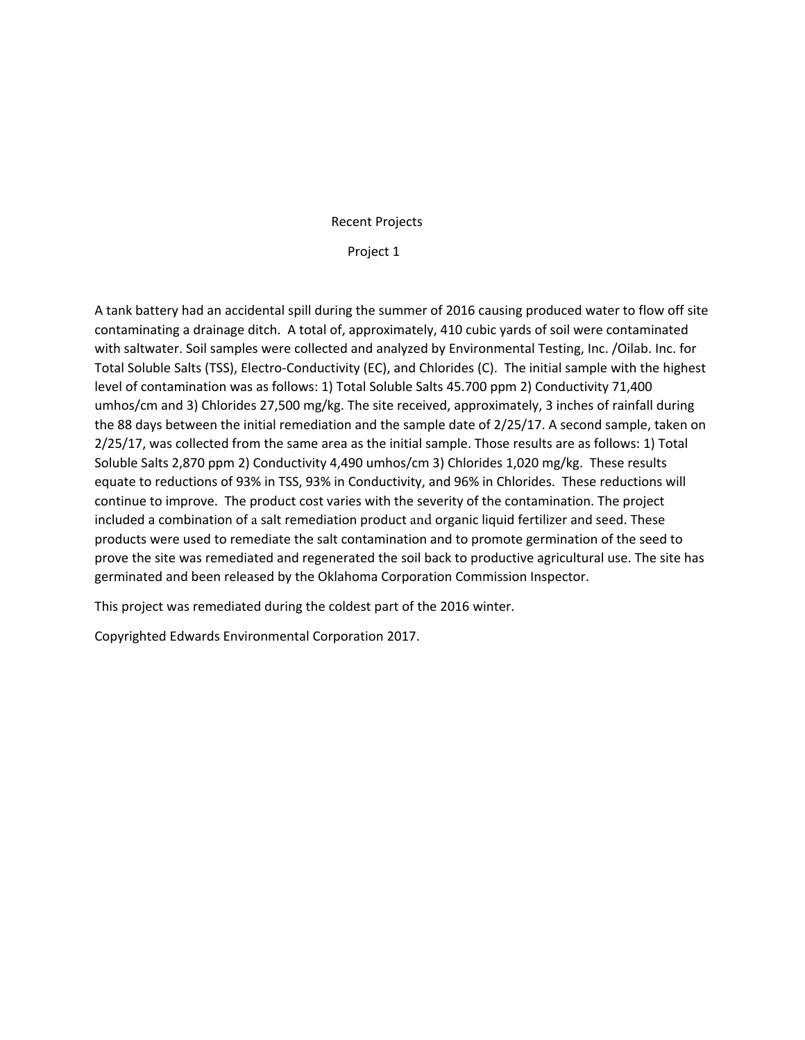## Recent Projects

## Project 1

A tank battery had an accidental spill during the summer of 2016 causing produced water to flow off site contaminating a drainage ditch. A total of, approximately, 410 cubic yards of soil were contaminated with saltwater. Soil samples were collected and analyzed by Environmental Testing, Inc. /Oilab. Inc. for Total Soluble Salts (TSS), Electro-Conductivity (EC), and Chlorides (C). The initial sample with the highest level of contamination was as follows: 1) Total Soluble Salts 45.700 ppm 2) Conductivity 71,400 umhos/cm and 3) Chlorides 27,500 mg/kg. The site received, approximately, 3 inches of rainfall during the 88 days between the initial remediation and the sample date of 2/25/17. A second sample, taken on 2/25/17, was collected from the same area as the initial sample. Those results are as follows: 1) Total Soluble Salts 2,870 ppm 2) Conductivity 4,490 umhos/cm 3) Chlorides 1,020 mg/kg. These results equate to reductions of 93% in TSS, 93% in Conductivity, and 96% in Chlorides. These reductions will continue to improve. The product cost varies with the severity of the contamination. The project included a combination of a salt remediation product and organic liquid fertilizer and seed. These products were used to remediate the salt contamination and to promote germination of the seed to prove the site was remediated and regenerated the soil back to productive agricultural use. The site has germinated and been released by the Oklahoma Corporation Commission Inspector.

This project was remediated during the coldest part of the 2016 winter.

Copyrighted Edwards Environmental Corporation 2017.